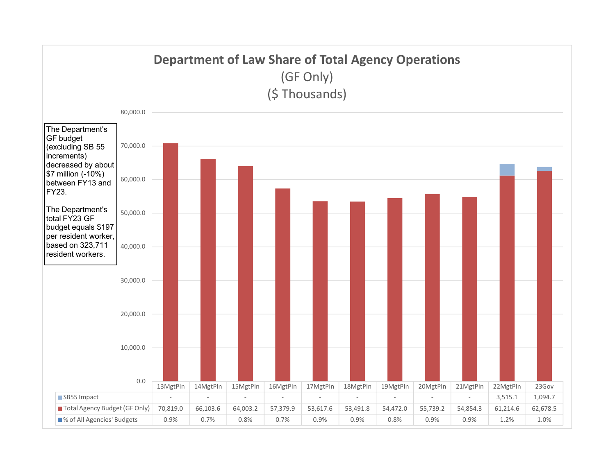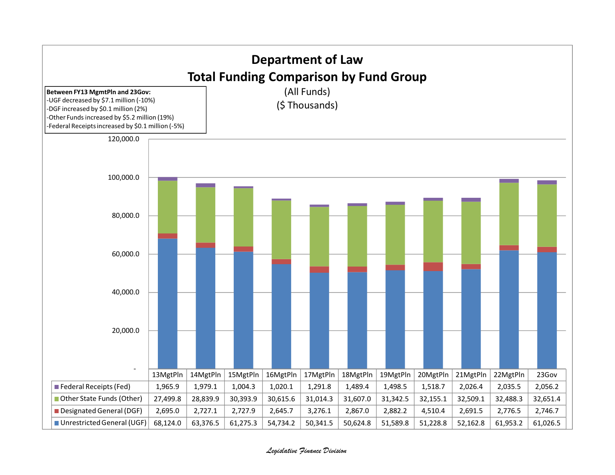